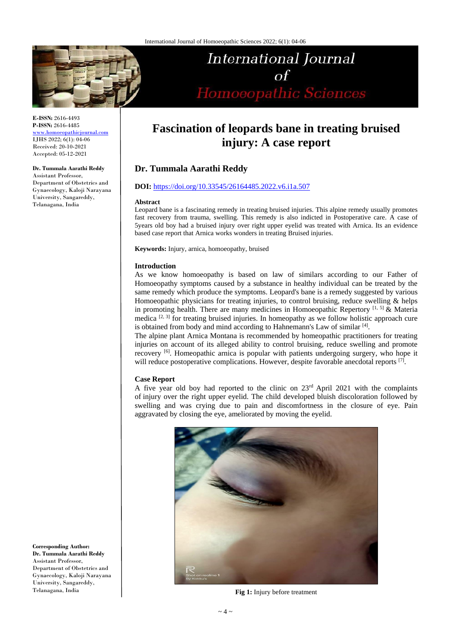

**E-ISSN:** 2616-4493 **P-ISSN:** 2616-4485 [www.homoeopathicjournal.com](file://Server/test/homoeopathicjournal/issue/vol%204/issue%201/www.homoeopathicjournal.com) IJHS 2022; 6(1): 04-06

Received: 20-10-2021 Accepted: 05-12-2021

#### **Dr. Tummala Aarathi Reddy**

Assistant Professor, Department of Obstetrics and Gynaecology, Kaloji Narayana University, Sangareddy, Telanagana, India

International Journal  $\Omega$ Homoeopathic Sciences

# **Fascination of leopards bane in treating bruised injury: A case report**

# **Dr. Tummala Aarathi Reddy**

# **DOI:** <https://doi.org/10.33545/26164485.2022.v6.i1a.507>

#### **Abstract**

Leopard bane is a fascinating remedy in treating bruised injuries. This alpine remedy usually promotes fast recovery from trauma, swelling. This remedy is also indicted in Postoperative care. A case of 5years old boy had a bruised injury over right upper eyelid was treated with Arnica. Its an evidence based case report that Arnica works wonders in treating Bruised injuries.

**Keywords:** Injury, arnica, homoeopathy, bruised

## **Introduction**

As we know homoeopathy is based on law of similars according to our Father of Homoeopathy symptoms caused by a substance in healthy individual can be treated by the same remedy which produce the symptoms. Leopard's bane is a remedy suggested by various Homoeopathic physicians for treating injuries, to control bruising, reduce swelling & helps in promoting health. There are many medicines in Homoeopathic Repertory  $[1, 5]$  & Materia medica  $[2, 3]$  for treating bruised injuries. In homeopathy as we follow holistic approach cure is obtained from body and mind according to Hahnemann's Law of similar [4].

The alpine plant Arnica Montana is recommended by homeopathic practitioners for treating injuries on account of its alleged ability to control bruising, reduce swelling and promote recovery <sup>[6]</sup>. Homeopathic arnica is popular with patients undergoing surgery, who hope it will reduce postoperative complications. However, despite favorable anecdotal reports [7].

# **Case Report**

A five year old boy had reported to the clinic on 23rd April 2021 with the complaints of injury over the right upper eyelid. The child developed bluish discoloration followed by swelling and was crying due to pain and discomfortness in the closure of eye. Pain aggravated by closing the eye, ameliorated by moving the eyelid.



**Fig 1:** Injury before treatment

**Corresponding Author: Dr. Tummala Aarathi Reddy**  Assistant Professor, Department of Obstetrics and Gynaecology, Kaloji Narayana University, Sangareddy, Telanagana, India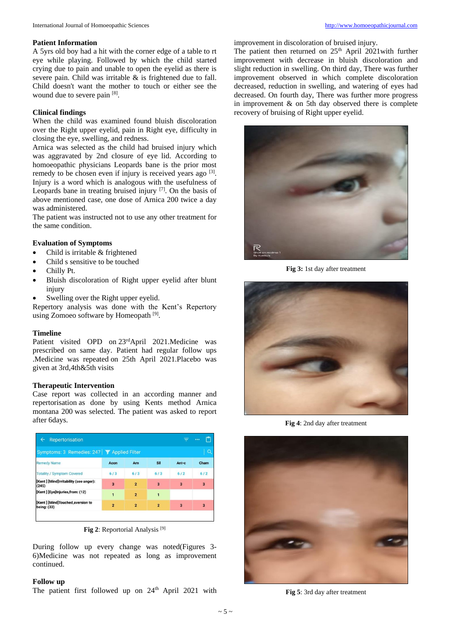## **Patient Information**

A 5yrs old boy had a hit with the corner edge of a table to rt eye while playing. Followed by which the child started crying due to pain and unable to open the eyelid as there is severe pain. Child was irritable  $\&$  is frightened due to fall. Child doesn't want the mother to touch or either see the wound due to severe pain [8].

# **Clinical findings**

When the child was examined found bluish discoloration over the Right upper eyelid, pain in Right eye, difficulty in closing the eye, swelling, and redness.

Arnica was selected as the child had bruised injury which was aggravated by 2nd closure of eye lid. According to homoeopathic physicians Leopards bane is the prior most remedy to be chosen even if injury is received years ago [3]. Injury is a word which is analogous with the usefulness of Leopards bane in treating bruised injury [7]. On the basis of above mentioned case, one dose of Arnica 200 twice a day was administered.

The patient was instructed not to use any other treatment for the same condition.

#### **Evaluation of Symptoms**

- Child is irritable & frightened
- Child s sensitive to be touched
- Chilly Pt.
- Bluish discoloration of Right upper eyelid after blunt injury
- Swelling over the Right upper eyelid.

Repertory analysis was done with the Kent's Repertory using Zomoeo software by Homeopath<sup>[9]</sup>.

#### **Timeline**

Patient visited OPD on 23rdApril 2021.Medicine was prescribed on same day. Patient had regular follow ups .Medicine was repeated on 25th April 2021.Placebo was given at 3rd,4th&5th visits

#### **Therapeutic Intervention**

Case report was collected in an according manner and repertorisation as done by using Kents method Arnica montana 200 was selected. The patient was asked to report after 6days.

|                         |                |                                              | Ξ                       | ۴<br>                   |
|-------------------------|----------------|----------------------------------------------|-------------------------|-------------------------|
|                         |                |                                              |                         | Q                       |
| Acon                    | <b>Arn</b>     | Sil                                          | Ant-c                   | Cham                    |
| 6/3                     | 6/3            | 6/3                                          | $6/2$                   | $6/2$                   |
| $\overline{\mathbf{3}}$ | $\overline{2}$ | 3                                            | $\overline{\mathbf{3}}$ | $\overline{\mathbf{3}}$ |
| 1                       | $\overline{2}$ | $\overline{\mathbf{1}}$                      |                         |                         |
| $\overline{2}$          | $\overline{2}$ | $\overline{2}$                               | $\overline{a}$          | $\overline{\mathbf{3}}$ |
|                         |                | Symptoms: 3 Remedies: 247   Y Applied Filter |                         |                         |

**Fig 2**: Reportorial Analysis [9]

During follow up every change was noted(Figures 3- 6)Medicine was not repeated as long as improvement continued.

#### **Follow up**

The patient first followed up on 24<sup>th</sup> April 2021 with

improvement in discoloration of bruised injury.

The patient then returned on  $25<sup>th</sup>$  April 2021with further improvement with decrease in bluish discoloration and slight reduction in swelling. On third day, There was further improvement observed in which complete discoloration decreased, reduction in swelling, and watering of eyes had decreased. On fourth day, There was further more progress in improvement  $\&$  on 5th day observed there is complete recovery of bruising of Right upper eyelid.



**Fig 3:** 1st day after treatment



**Fig 4**: 2nd day after treatment



**Fig 5**: 3rd day after treatment